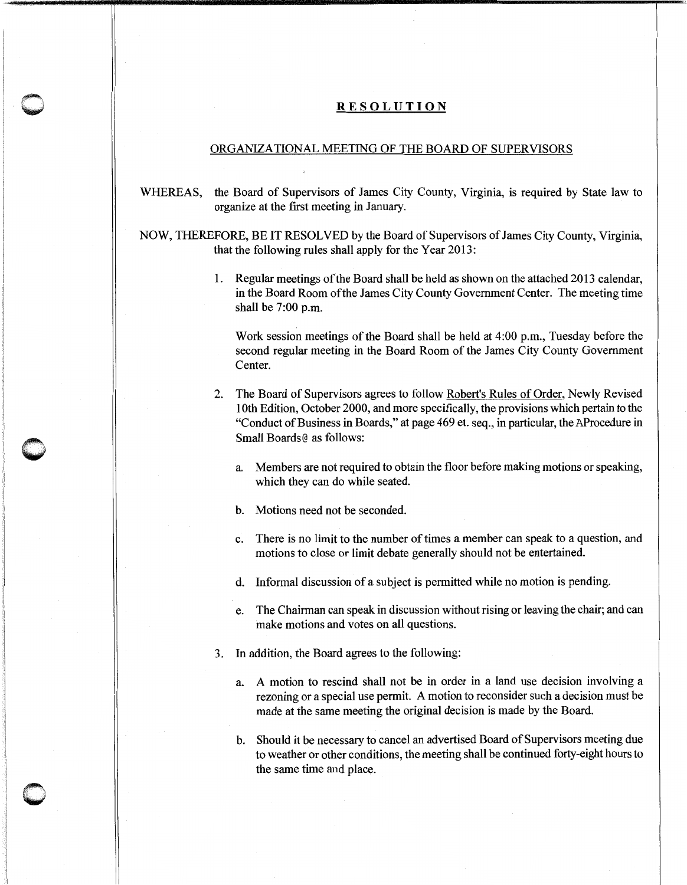## **RESOLUTION**

## ORGANIZATIONAL MEETING OF THE BOARD OF SUPERVISORS

WHEREAS, the Board of Supervisors of James City County, Virginia, is required by State law to organize at the first meeting in January.

NOW, THEREFORE, BE IT RESOLVED by the Board of Supervisors of James City County, Virginia, that the following rules shall apply for the Year 2013:

> I. Regular meetings of the Board shall be held as shown on the attached 2013 calendar, in the Board Room of the James City County Government Center. The meeting time shall be 7:00 p.m.

Work session meetings of the Board shall be held at 4:00 p.m., Tuesday before the second regular meeting in the Board Room of the James City County Government Center.

2. The Board of Supervisors agrees to follow Robert's Rules of Order, Newly Revised 1Oth Edition, October 2000, and more specifically, the provisions which pertain to the "Conduct of Business in Boards," at page 469 et. seq., in particular, the AProcedure in Small Boards@ as follows:

a. Members are not required to obtain the floor before making motions or speaking, which they can do while seated.

b. Motions need not be seconded.

- c. There is no limit to the number of times a member can speak to a question, and motions to close or limit debate generally should not be entertained.
- d. Informal discussion of a subject is permitted while no motion is pending.
- e. The Chairman can speak in discussion without rising or leaving the chair; and can make motions and votes on all questions.
- 3. In addition, the Board agrees to the following:
	- a. A motion to rescind shall not be in order in a land use decision involving a rezoning or a special use permit. A motion to reconsider such a decision must be made at the same meeting the original decision is made by the Board.

b. Should it be necessary to cancel an advertised Board of Supervisors meeting due to weather or other conditions, the meeting shall be continued forty-eight hours to the same time and place.